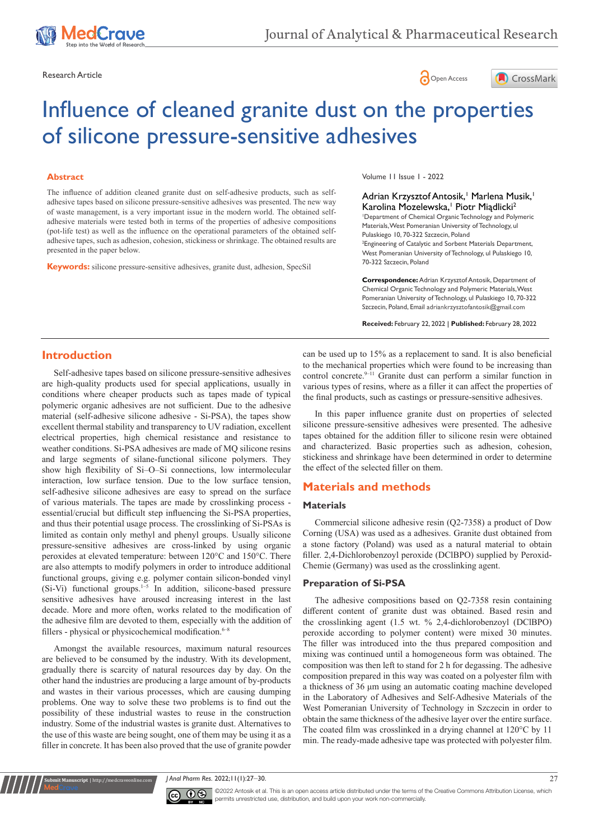





# Influence of cleaned granite dust on the properties of silicone pressure-sensitive adhesives

#### **Abstract**

The influence of addition cleaned granite dust on self-adhesive products, such as selfadhesive tapes based on silicone pressure-sensitive adhesives was presented. The new way of waste management, is a very important issue in the modern world. The obtained selfadhesive materials were tested both in terms of the properties of adhesive compositions (pot-life test) as well as the influence on the operational parameters of the obtained selfadhesive tapes, such as adhesion, cohesion, stickiness or shrinkage. The obtained results are presented in the paper below.

**Keywords:** silicone pressure-sensitive adhesives, granite dust, adhesion, SpecSil

Volume 11 Issue 1 - 2022

Adrian Krzysztof Antosik, Marlena Musik, 1 Karolina Mozelewska,<sup>†</sup> Piotr Miądlicki<sup>2</sup> 1 Department of Chemical Organic Technology and Polymeric Materials, West Pomeranian University of Technology, ul Pulaskiego 10, 70-322 Szczecin, Poland 2 Engineering of Catalytic and Sorbent Materials Department, West Pomeranian University of Technology, ul Pulaskiego 10, 70-322 Szczecin, Poland **Correspondence:** Adrian Krzysztof Antosik, Department of Chemical Organic Technology and Polymeric Materials, West

Pomeranian University of Technology, ul Pulaskiego 10, 70-322 Szczecin, Poland, Email adriankrzysztofantosik@gmail.com

**Received:** February 22, 2022 | **Published:** February 28, 2022

# **Introduction**

Self-adhesive tapes based on silicone pressure-sensitive adhesives are high-quality products used for special applications, usually in conditions where cheaper products such as tapes made of typical polymeric organic adhesives are not sufficient. Due to the adhesive material (self-adhesive silicone adhesive - Si-PSA), the tapes show excellent thermal stability and transparency to UV radiation, excellent electrical properties, high chemical resistance and resistance to weather conditions. Si-PSA adhesives are made of MQ silicone resins and large segments of silane-functional silicone polymers. They show high flexibility of Si–O–Si connections, low intermolecular interaction, low surface tension. Due to the low surface tension, self-adhesive silicone adhesives are easy to spread on the surface of various materials. The tapes are made by crosslinking process essential/crucial but difficult step influencing the Si-PSA properties, and thus their potential usage process. The crosslinking of Si-PSAs is limited as contain only methyl and phenyl groups. Usually silicone pressure-sensitive adhesives are cross-linked by using organic peroxides at elevated temperature: between 120°C and 150°C. There are also attempts to modify polymers in order to introduce additional functional groups, giving e.g. polymer contain silicon-bonded vinyl (Si-Vi) functional groups.1–5 In addition, silicone-based pressure sensitive adhesives have aroused increasing interest in the last decade. More and more often, works related to the modification of the adhesive film are devoted to them, especially with the addition of fillers - physical or physicochemical modification. $6-8$ 

Amongst the available resources, maximum natural resources are believed to be consumed by the industry. With its development, gradually there is scarcity of natural resources day by day. On the other hand the industries are producing a large amount of by-products and wastes in their various processes, which are causing dumping problems. One way to solve these two problems is to find out the possibility of these industrial wastes to reuse in the construction industry. Some of the industrial wastes is granite dust. Alternatives to the use of this waste are being sought, one of them may be using it as a filler in concrete. It has been also proved that the use of granite powder

**it Manuscript** | http://medcraveonline.c

can be used up to 15% as a replacement to sand. It is also beneficial to the mechanical properties which were found to be increasing than control concrete.<sup>9-11</sup> Granite dust can perform a similar function in various types of resins, where as a filler it can affect the properties of the final products, such as castings or pressure-sensitive adhesives.

In this paper influence granite dust on properties of selected silicone pressure-sensitive adhesives were presented. The adhesive tapes obtained for the addition filler to silicone resin were obtained and characterized. Basic properties such as adhesion, cohesion, stickiness and shrinkage have been determined in order to determine the effect of the selected filler on them.

# **Materials and methods**

## **Materials**

Commercial silicone adhesive resin (Q2-7358) a product of Dow Corning (USA) was used as a adhesives. Granite dust obtained from a stone factory (Poland) was used as a natural material to obtain filler. 2,4-Dichlorobenzoyl peroxide (DClBPO) supplied by Peroxid-Chemie (Germany) was used as the crosslinking agent.

#### **Preparation of Si-PSA**

The adhesive compositions based on Q2-7358 resin containing different content of granite dust was obtained. Based resin and the crosslinking agent (1.5 wt. % 2,4-dichlorobenzoyl (DClBPO) peroxide according to polymer content) were mixed 30 minutes. The filler was introduced into the thus prepared composition and mixing was continued until a homogeneous form was obtained. The composition was then left to stand for 2 h for degassing. The adhesive composition prepared in this way was coated on a polyester film with a thickness of 36 μm using an automatic coating machine developed in the Laboratory of Adhesives and Self-Adhesive Materials of the West Pomeranian University of Technology in Szczecin in order to obtain the same thickness of the adhesive layer over the entire surface. The coated film was crosslinked in a drying channel at 120°C by 11 min. The ready-made adhesive tape was protected with polyester film.

*J Anal Pharm Res.* 2022;11(1):27‒30. 27



©2022 Antosik et al. This is an open access article distributed under the terms of the [Creative Commons Attribution License,](https://creativecommons.org/licenses/by-nc/4.0/) which permits unrestricted use, distribution, and build upon your work non-commercially.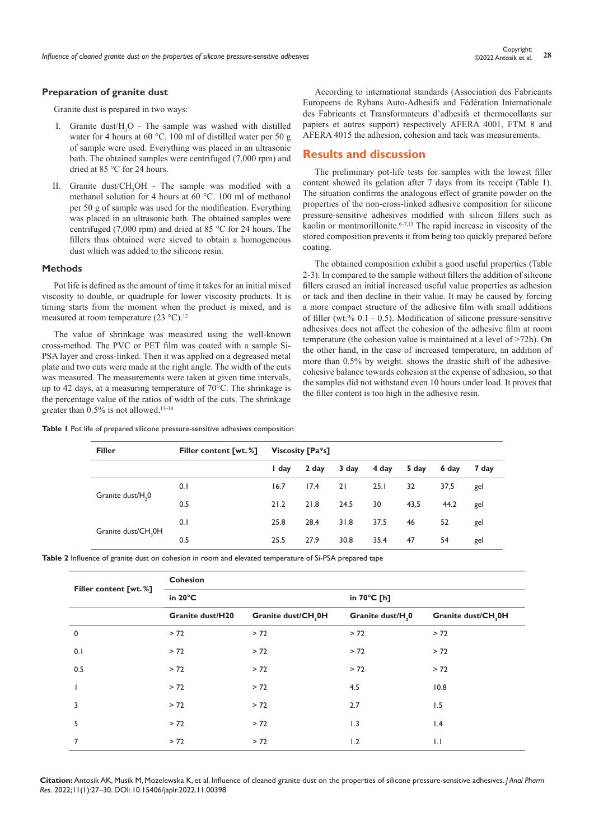## **Preparation of granite dust**

Granite dust is prepared in two ways:

- I. Granite dust/ $H_2O$  The sample was washed with distilled water for 4 hours at 60 °C. 100 ml of distilled water per 50 g of sample were used. Everything was placed in an ultrasonic bath. The obtained samples were centrifuged (7,000 rpm) and dried at 85 °C for 24 hours.
- II. Granite dust/CH<sub>3</sub>OH The sample was modified with a methanol solution for 4 hours at 60 °C. 100 ml of methanol per 50 g of sample was used for the modification. Everything was placed in an ultrasonic bath. The obtained samples were centrifuged (7,000 rpm) and dried at 85 °C for 24 hours. The fillers thus obtained were sieved to obtain a homogeneous dust which was added to the silicone resin.

#### **Methods**

Pot life is defined as the amount of time it takes for an initial mixed viscosity to double, or quadruple for lower viscosity products. It is timing starts from the moment when the product is mixed, and is measured at room temperature (23 °C).<sup>12</sup>

The value of shrinkage was measured using the well-known cross-method. The PVC or PET film was coated with a sample Si-PSA layer and cross-linked. Then it was applied on a degreased metal plate and two cuts were made at the right angle. The width of the cuts was measured. The measurements were taken at given time intervals, up to 42 days, at a measuring temperature of 70°C. The shrinkage is the percentage value of the ratios of width of the cuts. The shrinkage greater than  $0.5\%$  is not allowed.<sup>13-14</sup>

According to international standards (Association des Fabricants Europeens de Rybans Auto-Adhesifs and Fédération Internationale des Fabricants et Transformateurs d'adhesifs et thermocollants sur papiers et autres support) respectively AFERA 4001, FTM 8 and AFERA 4015 the adhesion, cohesion and tack was measurements.

## **Results and discussion**

The preliminary pot-life tests for samples with the lowest filler content showed its gelation after 7 days from its receipt (Table 1). The situation confirms the analogous effect of granite powder on the properties of the non-cross-linked adhesive composition for silicone pressure-sensitive adhesives modified with silicon fillers such as kaolin or montmorillonite.<sup> $6-7,13$ </sup> The rapid increase in viscosity of the stored composition prevents it from being too quickly prepared before coating.

The obtained composition exhibit a good useful properties (Table 2-3). In compared to the sample without fillers the addition of silicone fillers caused an initial increased useful value properties as adhesion or tack and then decline in their value. It may be caused by forcing a more compact structure of the adhesive film with small additions of filler (wt.% 0.1 - 0.5). Modification of silicone pressure-sensitive adhesives does not affect the cohesion of the adhesive film at room temperature (the cohesion value is maintained at a level of >72h). On the other hand, in the case of increased temperature, an addition of more than 0.5% by weight. shows the drastic shift of the adhesivecohesive balance towards cohesion at the expense of adhesion, so that the samples did not withstand even 10 hours under load. It proves that the filler content is too high in the adhesive resin.

| Table I Pot life of prepared silicone pressure-sensitive adhesives composition |  |  |  |  |  |  |  |  |
|--------------------------------------------------------------------------------|--|--|--|--|--|--|--|--|
|--------------------------------------------------------------------------------|--|--|--|--|--|--|--|--|

| <b>Filler</b>                   | <b>Filler content [wt. %]</b> | Viscosity [Pa*s] |       |       |       |       |       |       |
|---------------------------------|-------------------------------|------------------|-------|-------|-------|-------|-------|-------|
|                                 |                               | I day            | 2 day | 3 day | 4 day | 5 day | 6 day | 7 day |
| Granite dust/H <sub>2</sub> 0   | 0.1                           | 16.7             | 17.4  | 21    | 25.1  | 32    | 37,5  | gel   |
|                                 | 0.5                           | 21.2             | 21.8  | 24.5  | 30    | 43,5  | 44.2  | gel   |
|                                 | 25.8<br>28.4<br>31.8<br>0.1   | 37.5             | 46    | 52    | gel   |       |       |       |
| Granite dust/CH <sub>2</sub> 0H | 0.5                           | 25.5             | 27.9  | 30.8  | 35.4  | 47    | 54    | gel   |

**Table 2** Influence of granite dust on cohesion in room and elevated temperature of Si-PSA prepared tape

|                       | <b>Cohesion</b>         |                     |                              |                     |  |  |  |
|-----------------------|-------------------------|---------------------|------------------------------|---------------------|--|--|--|
| Filler content [wt.%] | in $20^{\circ}$ C       |                     | in 70°C [h]                  |                     |  |  |  |
|                       | <b>Granite dust/H20</b> | Granite dust/CH, 0H | Granite dust/H <sub>,0</sub> | Granite dust/CH, 0H |  |  |  |
| $\mathbf 0$           | > 72                    | > 72                | > 72                         | > 72                |  |  |  |
| 0.1                   | > 72                    | > 72                | > 72                         | > 72                |  |  |  |
| 0.5                   | > 72                    | > 72                | > 72                         | > 72                |  |  |  |
|                       | > 72                    | > 72                | 4.5                          | 10.8                |  |  |  |
| 3                     | > 72                    | > 72                | 2.7                          | 1.5                 |  |  |  |
| 5                     | > 72                    | > 72                | 1.3                          | $\mathsf{I}$ .4     |  |  |  |
| 7                     | > 72                    | > 72                | 1.2                          | $\mathsf{L}$        |  |  |  |

**Citation:** Antosik AK, Musik M, Mozelewska K, et al. Influence of cleaned granite dust on the properties of silicone pressure-sensitive adhesives. *J Anal Pharm Res.* 2022;11(1):27‒30. DOI: [10.15406/japlr.2022.11.00398](https://doi.org/10.15406/japlr.2022.11.00398)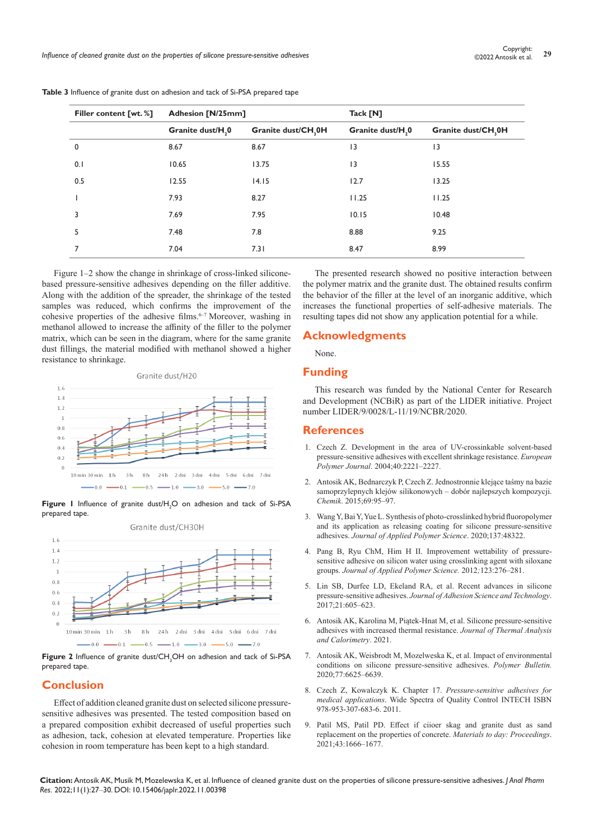| Filler content [wt.%] | Adhesion [N/25mm]            |                    | Tack [N]                     |                     |  |
|-----------------------|------------------------------|--------------------|------------------------------|---------------------|--|
|                       | Granite dust/H <sub>,0</sub> | Granite dust/CH,0H | Granite dust/H <sub>,0</sub> | Granite dust/CH, 0H |  |
| 0                     | 8.67                         | 8.67               | 3                            | 3                   |  |
| 0.1                   | 10.65                        | 13.75              | 3                            | 15.55               |  |
| 0.5                   | 12.55                        | 14.15              | 12.7                         | 13.25               |  |
|                       | 7.93                         | 8.27               | 11.25                        | 11.25               |  |
| 3                     | 7.69                         | 7.95               | 10.15                        | 10.48               |  |
| 5                     | 7.48                         | 7.8                | 8.88                         | 9.25                |  |
|                       | 7.04                         | 7.31               | 8.47                         | 8.99                |  |

**Table 3** Influence of granite dust on adhesion and tack of Si-PSA prepared tape

Figure 1–2 show the change in shrinkage of cross-linked siliconebased pressure-sensitive adhesives depending on the filler additive. Along with the addition of the spreader, the shrinkage of the tested samples was reduced, which confirms the improvement of the cohesive properties of the adhesive films.<sup>6–7</sup> Moreover, washing in methanol allowed to increase the affinity of the filler to the polymer matrix, which can be seen in the diagram, where for the same granite dust fillings, the material modified with methanol showed a higher resistance to shrinkage.



**Figure 1** Influence of granite dust/ $H_2O$  on adhesion and tack of Si-PSA prepared tape.



**Figure 2** Influence of granite dust/CH<sub>3</sub>OH on adhesion and tack of Si-PSA prepared tape.

# **Conclusion**

Effect of addition cleaned granite dust on selected silicone pressuresensitive adhesives was presented. The tested composition based on a prepared composition exhibit decreased of useful properties such as adhesion, tack, cohesion at elevated temperature. Properties like cohesion in room temperature has been kept to a high standard.

The presented research showed no positive interaction between the polymer matrix and the granite dust. The obtained results confirm the behavior of the filler at the level of an inorganic additive, which increases the functional properties of self-adhesive materials. The resulting tapes did not show any application potential for a while.

## **Acknowledgments**

None.

## **Funding**

This research was funded by the National Center for Research and Development (NCBiR) as part of the LIDER initiative. Project number LIDER/9/0028/L-11/19/NCBR/2020.

### **References**

- 1. Czech Z. Development in the area of UV-crossinkable solvent-based pressure-sensitive adhesives with excellent shrinkage resistance. *European Polymer Journal*. 2004;40:2221–2227.
- 2. Antosik AK, Bednarczyk P, Czech Z. Jednostronnie klejące taśmy na bazie samoprzylepnych klejów silikonowych – dobór najlepszych kompozycji. *Chemik*. 2015;69:95–97.
- 3. Wang Y, Bai Y, Yue L. Synthesis of photo-crosslinked hybrid fluoropolymer and its application as releasing coating for silicone pressure-sensitive adhesives. *Journal of Applied Polymer Science*. 2020;137:48322.
- 4. Pang B, Ryu ChM, Him H II. Improvement wettability of pressuresensitive adhesive on silicon water using crosslinking agent with siloxane groups. *Journal of Applied Polymer Science.* 2012*;*123:276–281.
- 5. [Lin SB, Durfee LD, Ekeland RA, et al. Recent advances in silicone](https://www.tandfonline.com/doi/abs/10.1163/156856107781192274)  pressure-sensitive adhesives. *[Journal of Adhesion Science and](https://www.tandfonline.com/doi/abs/10.1163/156856107781192274) Technology*. [2017;21:605–623.](https://www.tandfonline.com/doi/abs/10.1163/156856107781192274)
- 6. [Antosik AK, Karolina M, Piątek-Hnat M, et al. Silicone pressure-sensitive](https://www.sciencegate.app/document/10.1007/s10973-021-11048-y)  [adhesives with increased thermal resistance.](https://www.sciencegate.app/document/10.1007/s10973-021-11048-y) *Journal of Thermal Analysis [and Calorimetry](https://www.sciencegate.app/document/10.1007/s10973-021-11048-y)*. 2021.
- 7. [Antosik AK, Weisbrodt M, Mozelweska K, et al. Impact of environmental](https://link.springer.com/article/10.1007/s00289-019-03099-x)  [conditions on silicone pressure-sensitive adhesives.](https://link.springer.com/article/10.1007/s00289-019-03099-x) *Polymer Bulletin.* [2020;77:6625–6639.](https://link.springer.com/article/10.1007/s00289-019-03099-x)
- 8. [Czech Z, Kowalczyk K. Chapter 17.](https://cdn.intechopen.com/pdfs/23742/intech-pressure_sensitive_adhesives_for_medical_applications.pdf) *Pressure-sensitive adhesives for medical applications*[. Wide Spectra of Quality Control INTECH ISBN](https://cdn.intechopen.com/pdfs/23742/intech-pressure_sensitive_adhesives_for_medical_applications.pdf)  [978-953-307-683-6. 2011.](https://cdn.intechopen.com/pdfs/23742/intech-pressure_sensitive_adhesives_for_medical_applications.pdf)
- 9. Patil MS, Patil PD. Effect if ciioer skag and granite dust as sand replacement on the properties of concrete. *Materials to day: Proceedings*. 2021;43:1666–1677.

**Citation:** Antosik AK, Musik M, Mozelewska K, et al. Influence of cleaned granite dust on the properties of silicone pressure-sensitive adhesives. *J Anal Pharm Res.* 2022;11(1):27‒30. DOI: [10.15406/japlr.2022.11.00398](https://doi.org/10.15406/japlr.2022.11.00398)